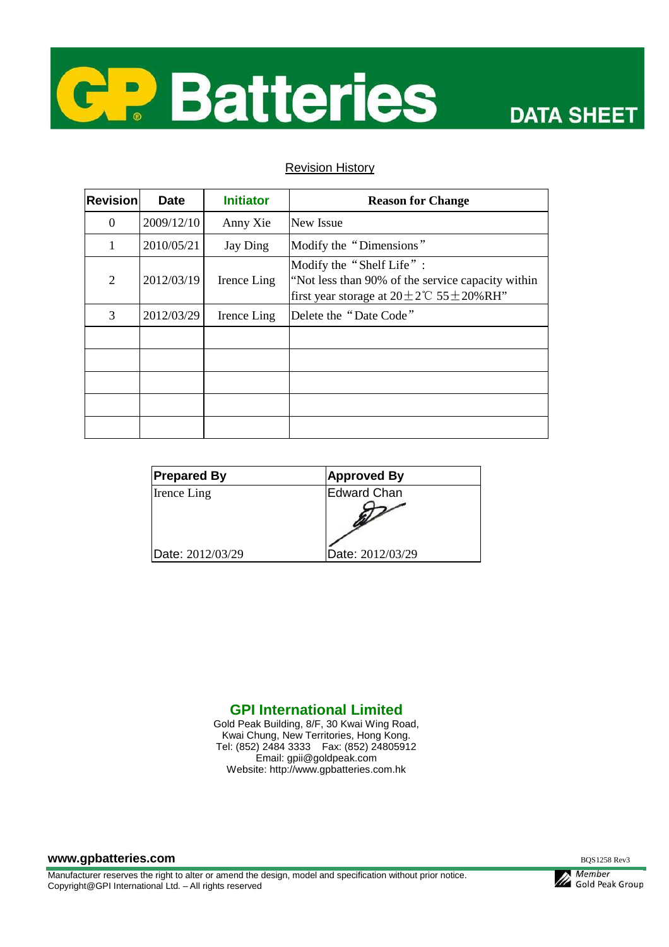

## Revision History

| <b>Revision</b> | <b>Date</b> | <b>Initiator</b> | <b>Reason for Change</b>                                                                                                                     |
|-----------------|-------------|------------------|----------------------------------------------------------------------------------------------------------------------------------------------|
| $\Omega$        | 2009/12/10  | Anny Xie         | New Issue                                                                                                                                    |
| 1               | 2010/05/21  | Jay Ding         | Modify the "Dimensions"                                                                                                                      |
| $\overline{2}$  | 2012/03/19  | Irence Ling      | Modify the "Shelf Life":<br>"Not less than 90% of the service capacity within<br>first year storage at $20 \pm 2^{\circ}$ C 55 $\pm$ 20% RH" |
| 3               | 2012/03/29  | Irence Ling      | Delete the "Date Code"                                                                                                                       |
|                 |             |                  |                                                                                                                                              |
|                 |             |                  |                                                                                                                                              |
|                 |             |                  |                                                                                                                                              |
|                 |             |                  |                                                                                                                                              |
|                 |             |                  |                                                                                                                                              |

| <b>Prepared By</b> | <b>Approved By</b> |
|--------------------|--------------------|
| <b>Irence Ling</b> | Edward Chan        |
|                    |                    |
| Date: 2012/03/29   | Date: 2012/03/29   |

## **GPI International Limited**

Gold Peak Building, 8/F, 30 Kwai Wing Road, Kwai Chung, New Territories, Hong Kong. Tel: (852) 2484 3333 Fax: (852) 24805912 Email: gpii@goldpeak.com Website: http://www.gpbatteries.com.hk

**www.gpbatteries.com** BQS1258 Rev3

Manufacturer reserves the right to alter or amend the design, model and specification without prior notice. Copyright@GPI International Ltd. – All rights reserved